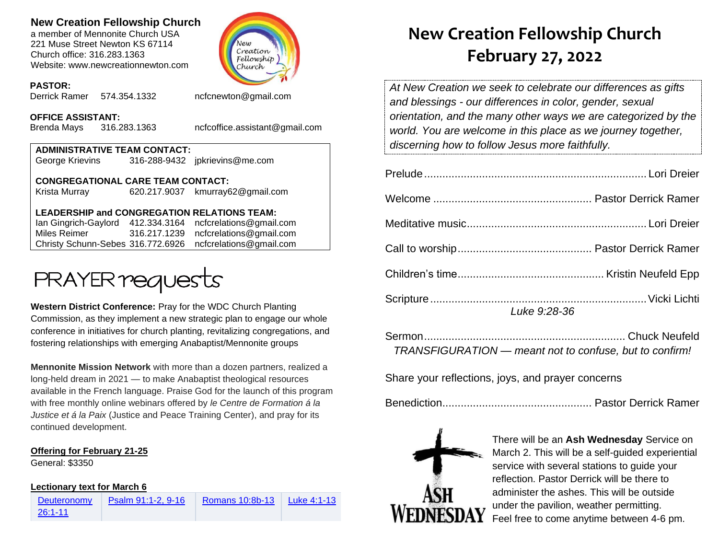## **New Creation Fellowship Church**

a member of Mennonite Church USA 221 Muse Street Newton KS 67114 Church office: 316.283.1363 Website: www.newcreationnewton.com



#### **PASTOR:**

Derrick Ramer 574.354.1332 [ncfcnewton@gmail.com](mailto:ncfcnewton@gmail.com)

### **OFFICE ASSISTANT:**

Brenda Mays 316.283.1363 ncfcoffice.assistant@gmail.com

| <b>ADMINISTRATIVE TEAM CONTACT:</b> |  |                                |  |  |
|-------------------------------------|--|--------------------------------|--|--|
| George Krievins                     |  | 316-288-9432 jpkrievins@me.com |  |  |
|                                     |  |                                |  |  |

**CONGREGATIONAL CARE TEAM CONTACT:** Krista Murray 620.217.9037 [kmurray62@gmail.com](mailto:kmurray62@gmail.com)

## **LEADERSHIP and CONGREGATION RELATIONS TEAM:**

Ian Gingrich-Gaylord 412.334.3164 [ncfcrelations@gmail.com](mailto:ncfcrelations@gmail.com) Miles Reimer [316.217.1239](mailto:316.217.1239) [ncfcrelations@gmail.com](mailto:ncfcrelations@gmail.com) Christy Schunn-Sebes 316.772.6926 ncfcrelations@gmail.com



**Western District Conference:** Pray for the WDC Church Planting Commission, as they implement a new strategic plan to engage our whole conference in initiatives for church planting, revitalizing congregations, and fostering relationships with emerging Anabaptist/Mennonite groups

**Mennonite Mission Network** with more than a dozen partners, realized a long-held dream in 2021 — to make Anabaptist theological resources available in the French language. Praise God for the launch of this program with free monthly online webinars offered by *le Centre de Formation á la Justice et á la Paix* (Justice and Peace Training Center), and pray for its continued development.

## **Offering for February 21-25**

General: \$3350

## **Lectionary text for March 6**

**Deuteronomy** [26:1-11](https://lectionary.library.vanderbilt.edu/texts.php?id=118)

[Psalm 91:1-2, 9-16](https://lectionary.library.vanderbilt.edu/texts.php?id=118) [Romans 10:8b-13](https://lectionary.library.vanderbilt.edu/texts.php?id=118) [Luke 4:1-13](https://lectionary.library.vanderbilt.edu/texts.php?id=118)

# **New Creation Fellowship Church February 27, 2022**

*At New Creation we seek to celebrate our differences as gifts and blessings - our differences in color, gender, sexual orientation, and the many other ways we are categorized by the world. You are welcome in this place as we journey together, discerning how to follow Jesus more faithfully.*

| <b>Luke 9:28-36</b> |
|---------------------|

| TRANSFIGURATION - meant not to confuse, but to confirm! |  |
|---------------------------------------------------------|--|

Share your reflections, joys, and prayer concerns

Benediction................................................. Pastor Derrick Ramer



There will be an **Ash Wednesday** Service on March 2. This will be a self-guided experiential service with several stations to guide your reflection. Pastor Derrick will be there to administer the ashes. This will be outside under the pavilion, weather permitting. Feel free to come anytime between 4-6 pm.